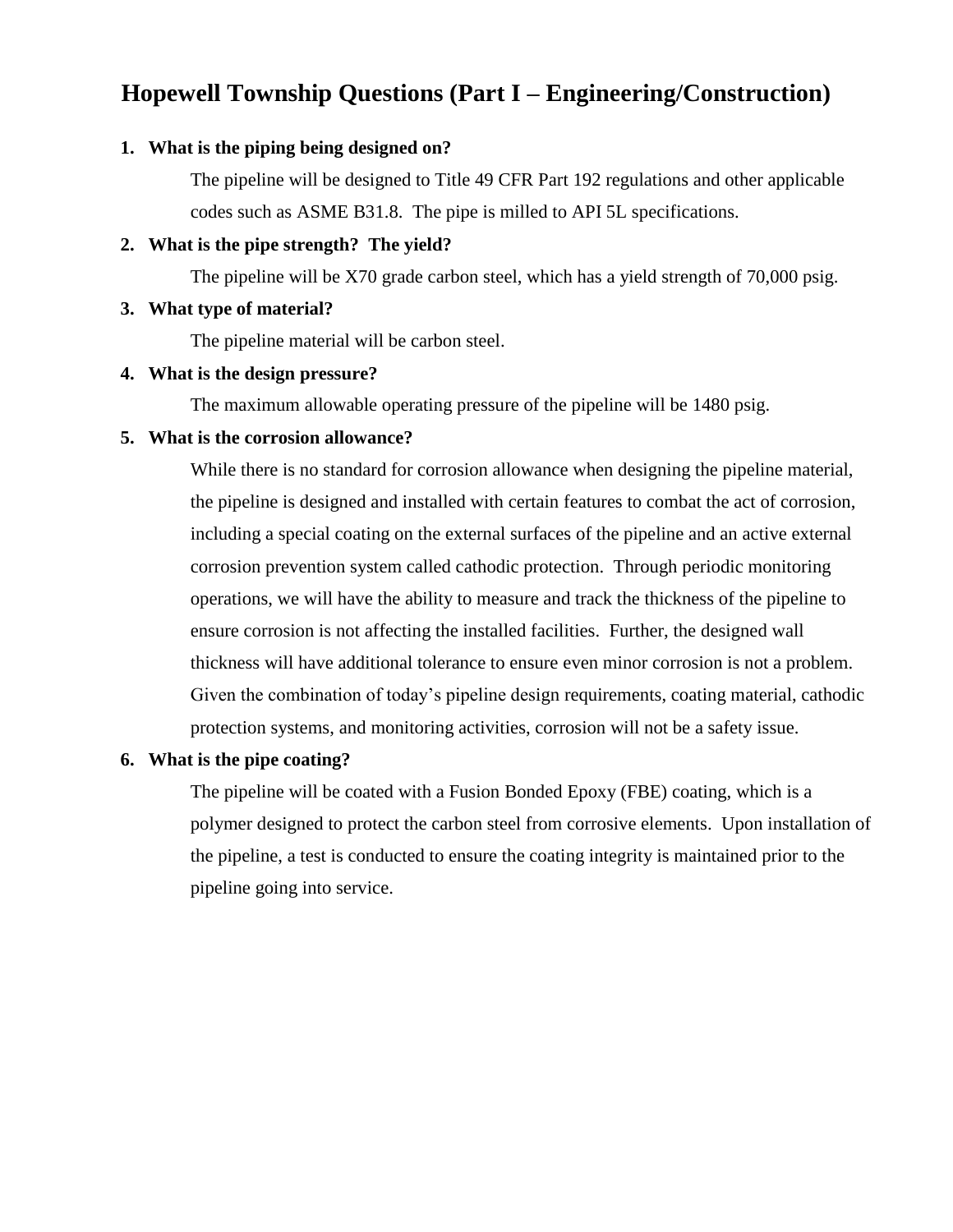# **Hopewell Township Questions (Part I – Engineering/Construction)**

### **1. What is the piping being designed on?**

The pipeline will be designed to Title 49 CFR Part 192 regulations and other applicable codes such as ASME B31.8. The pipe is milled to API 5L specifications.

### **2. What is the pipe strength? The yield?**

The pipeline will be X70 grade carbon steel, which has a yield strength of 70,000 psig.

### **3. What type of material?**

The pipeline material will be carbon steel.

#### **4. What is the design pressure?**

The maximum allowable operating pressure of the pipeline will be 1480 psig.

### **5. What is the corrosion allowance?**

While there is no standard for corrosion allowance when designing the pipeline material, the pipeline is designed and installed with certain features to combat the act of corrosion, including a special coating on the external surfaces of the pipeline and an active external corrosion prevention system called cathodic protection. Through periodic monitoring operations, we will have the ability to measure and track the thickness of the pipeline to ensure corrosion is not affecting the installed facilities. Further, the designed wall thickness will have additional tolerance to ensure even minor corrosion is not a problem. Given the combination of today's pipeline design requirements, coating material, cathodic protection systems, and monitoring activities, corrosion will not be a safety issue.

#### **6. What is the pipe coating?**

The pipeline will be coated with a Fusion Bonded Epoxy (FBE) coating, which is a polymer designed to protect the carbon steel from corrosive elements. Upon installation of the pipeline, a test is conducted to ensure the coating integrity is maintained prior to the pipeline going into service.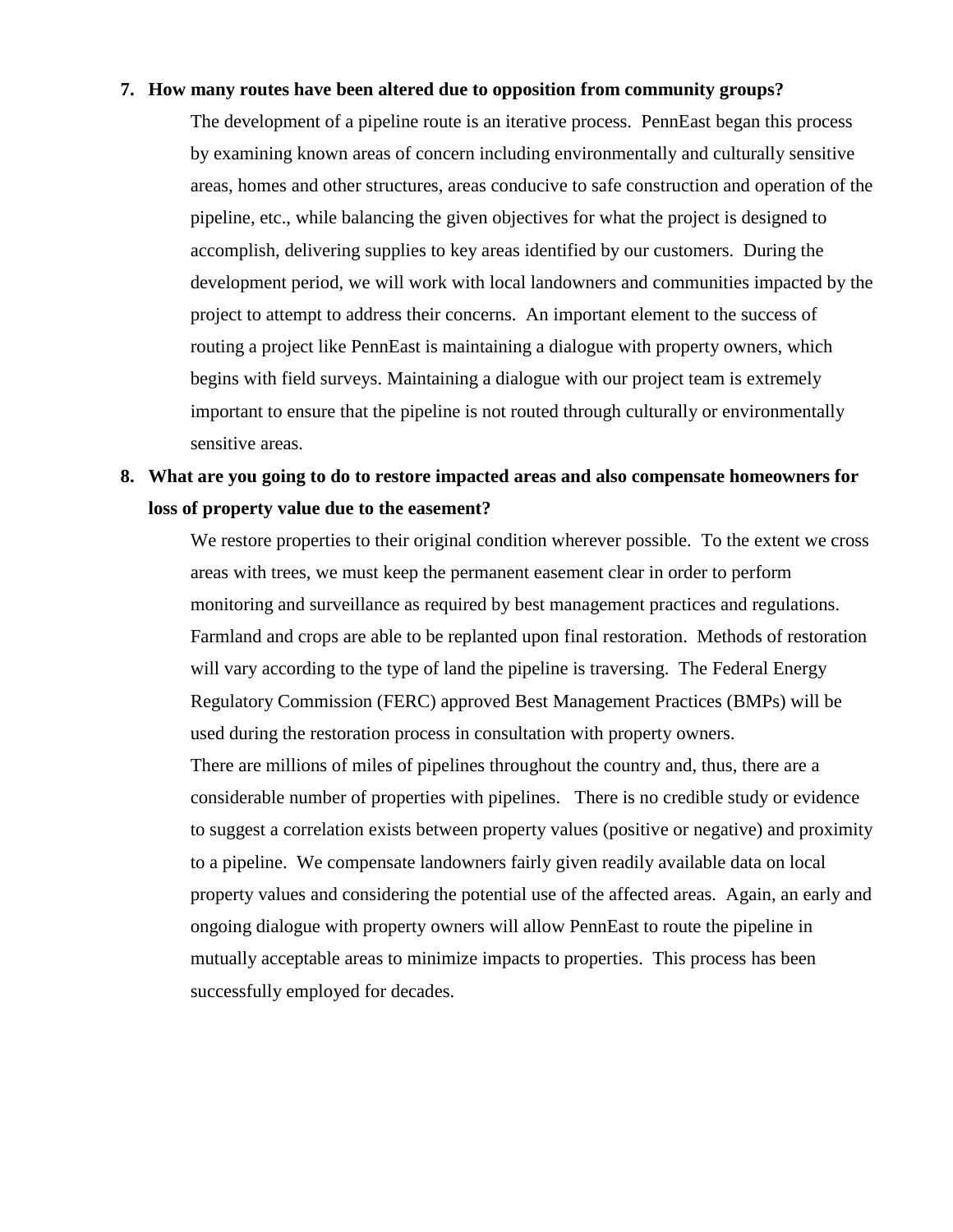#### **7. How many routes have been altered due to opposition from community groups?**

The development of a pipeline route is an iterative process. PennEast began this process by examining known areas of concern including environmentally and culturally sensitive areas, homes and other structures, areas conducive to safe construction and operation of the pipeline, etc., while balancing the given objectives for what the project is designed to accomplish, delivering supplies to key areas identified by our customers. During the development period, we will work with local landowners and communities impacted by the project to attempt to address their concerns. An important element to the success of routing a project like PennEast is maintaining a dialogue with property owners, which begins with field surveys. Maintaining a dialogue with our project team is extremely important to ensure that the pipeline is not routed through culturally or environmentally sensitive areas.

# **8. What are you going to do to restore impacted areas and also compensate homeowners for loss of property value due to the easement?**

We restore properties to their original condition wherever possible. To the extent we cross areas with trees, we must keep the permanent easement clear in order to perform monitoring and surveillance as required by best management practices and regulations. Farmland and crops are able to be replanted upon final restoration. Methods of restoration will vary according to the type of land the pipeline is traversing. The Federal Energy Regulatory Commission (FERC) approved Best Management Practices (BMPs) will be used during the restoration process in consultation with property owners. There are millions of miles of pipelines throughout the country and, thus, there are a considerable number of properties with pipelines. There is no credible study or evidence to suggest a correlation exists between property values (positive or negative) and proximity to a pipeline. We compensate landowners fairly given readily available data on local property values and considering the potential use of the affected areas. Again, an early and ongoing dialogue with property owners will allow PennEast to route the pipeline in mutually acceptable areas to minimize impacts to properties. This process has been successfully employed for decades.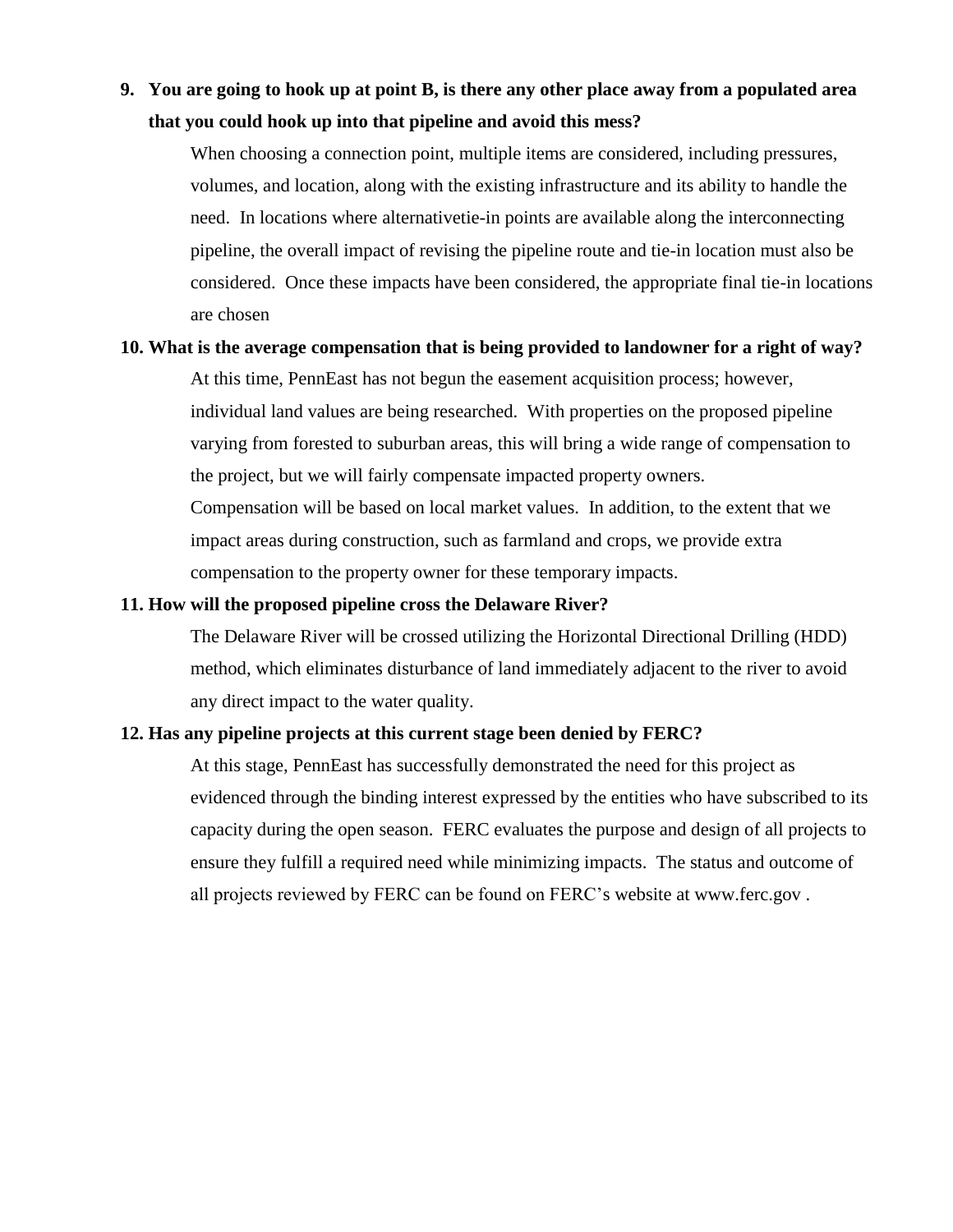# **9. You are going to hook up at point B, is there any other place away from a populated area that you could hook up into that pipeline and avoid this mess?**

When choosing a connection point, multiple items are considered, including pressures, volumes, and location, along with the existing infrastructure and its ability to handle the need. In locations where alternativetie-in points are available along the interconnecting pipeline, the overall impact of revising the pipeline route and tie-in location must also be considered. Once these impacts have been considered, the appropriate final tie-in locations are chosen

#### **10. What is the average compensation that is being provided to landowner for a right of way?**

At this time, PennEast has not begun the easement acquisition process; however, individual land values are being researched. With properties on the proposed pipeline varying from forested to suburban areas, this will bring a wide range of compensation to the project, but we will fairly compensate impacted property owners.

Compensation will be based on local market values. In addition, to the extent that we impact areas during construction, such as farmland and crops, we provide extra compensation to the property owner for these temporary impacts.

#### **11. How will the proposed pipeline cross the Delaware River?**

The Delaware River will be crossed utilizing the Horizontal Directional Drilling (HDD) method, which eliminates disturbance of land immediately adjacent to the river to avoid any direct impact to the water quality.

#### **12. Has any pipeline projects at this current stage been denied by FERC?**

At this stage, PennEast has successfully demonstrated the need for this project as evidenced through the binding interest expressed by the entities who have subscribed to its capacity during the open season. FERC evaluates the purpose and design of all projects to ensure they fulfill a required need while minimizing impacts. The status and outcome of all projects reviewed by FERC can be found on FERC's website at www.ferc.gov .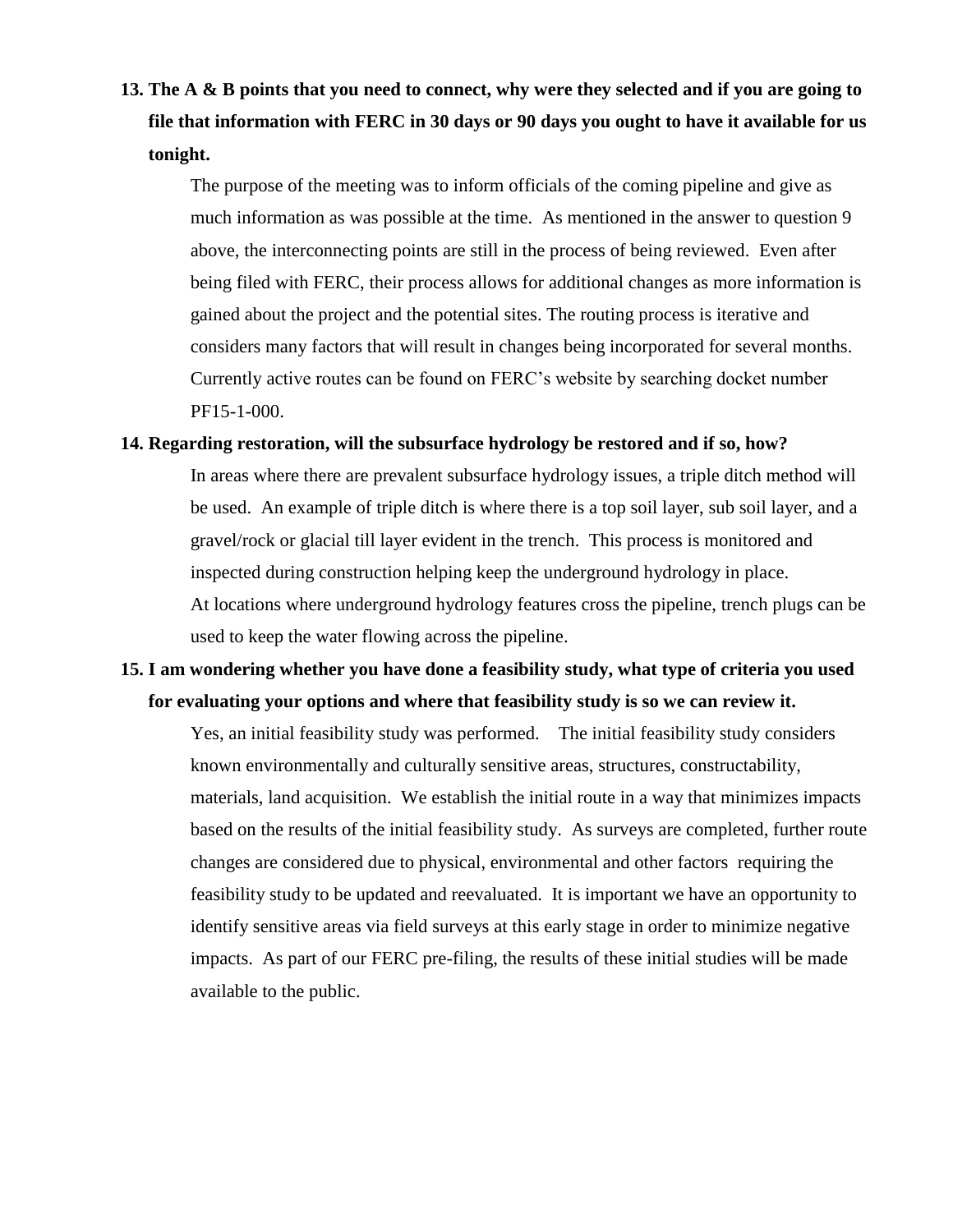**13. The A & B points that you need to connect, why were they selected and if you are going to file that information with FERC in 30 days or 90 days you ought to have it available for us tonight.** 

The purpose of the meeting was to inform officials of the coming pipeline and give as much information as was possible at the time. As mentioned in the answer to question 9 above, the interconnecting points are still in the process of being reviewed. Even after being filed with FERC, their process allows for additional changes as more information is gained about the project and the potential sites. The routing process is iterative and considers many factors that will result in changes being incorporated for several months. Currently active routes can be found on FERC's website by searching docket number PF15-1-000.

#### **14. Regarding restoration, will the subsurface hydrology be restored and if so, how?**

In areas where there are prevalent subsurface hydrology issues, a triple ditch method will be used. An example of triple ditch is where there is a top soil layer, sub soil layer, and a gravel/rock or glacial till layer evident in the trench. This process is monitored and inspected during construction helping keep the underground hydrology in place. At locations where underground hydrology features cross the pipeline, trench plugs can be used to keep the water flowing across the pipeline.

# **15. I am wondering whether you have done a feasibility study, what type of criteria you used for evaluating your options and where that feasibility study is so we can review it.**

Yes, an initial feasibility study was performed. The initial feasibility study considers known environmentally and culturally sensitive areas, structures, constructability, materials, land acquisition. We establish the initial route in a way that minimizes impacts based on the results of the initial feasibility study. As surveys are completed, further route changes are considered due to physical, environmental and other factors requiring the feasibility study to be updated and reevaluated. It is important we have an opportunity to identify sensitive areas via field surveys at this early stage in order to minimize negative impacts. As part of our FERC pre-filing, the results of these initial studies will be made available to the public.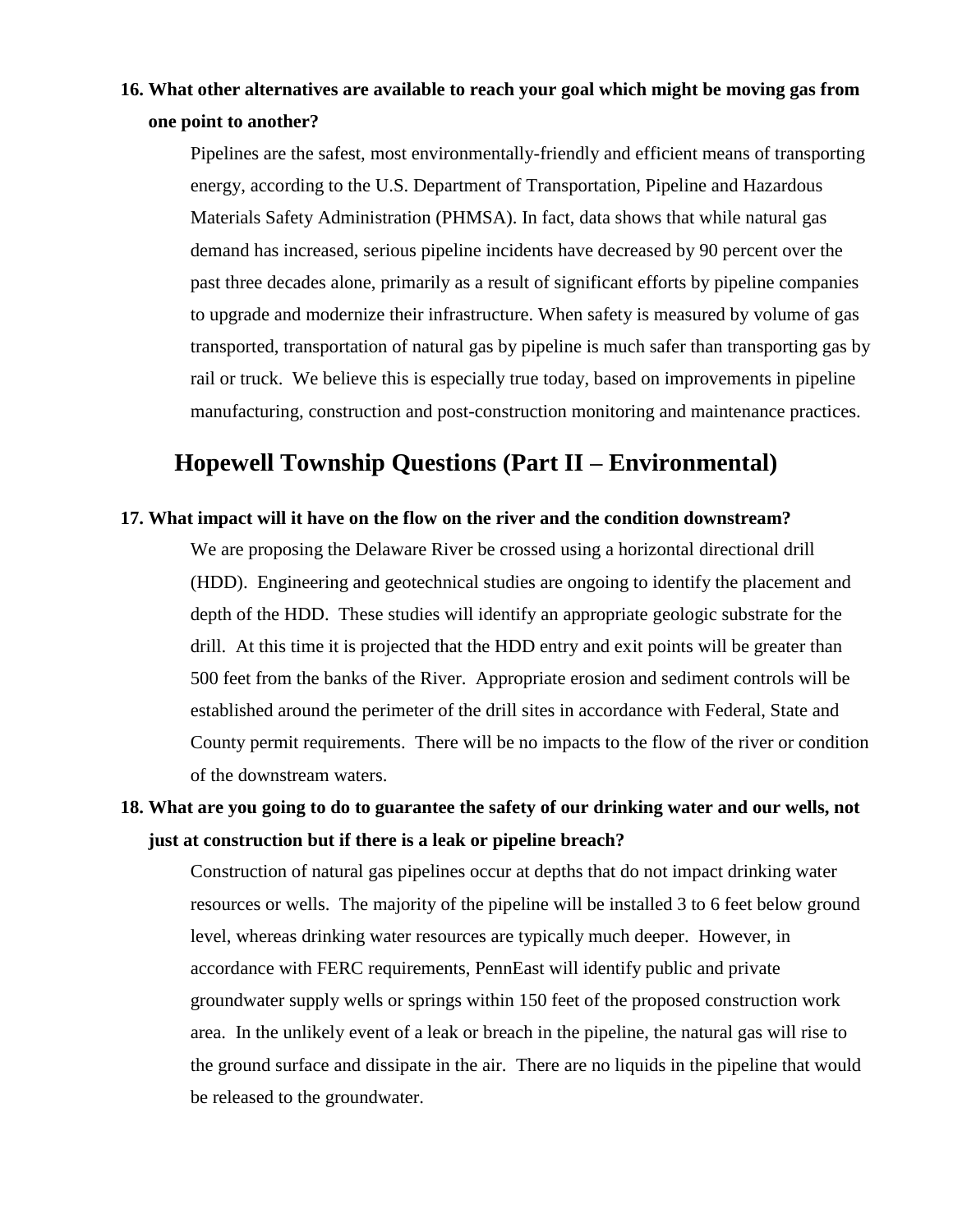## **16. What other alternatives are available to reach your goal which might be moving gas from one point to another?**

Pipelines are the safest, most environmentally-friendly and efficient means of transporting energy, according to the U.S. Department of Transportation, Pipeline and Hazardous Materials Safety Administration (PHMSA). In fact, data shows that while natural gas demand has increased, serious pipeline incidents have decreased by 90 percent over the past three decades alone, primarily as a result of significant efforts by pipeline companies to upgrade and modernize their infrastructure. When safety is measured by volume of gas transported, transportation of natural gas by pipeline is much safer than transporting gas by rail or truck. We believe this is especially true today, based on improvements in pipeline manufacturing, construction and post-construction monitoring and maintenance practices.

# **Hopewell Township Questions (Part II – Environmental)**

#### **17. What impact will it have on the flow on the river and the condition downstream?**

We are proposing the Delaware River be crossed using a horizontal directional drill (HDD). Engineering and geotechnical studies are ongoing to identify the placement and depth of the HDD. These studies will identify an appropriate geologic substrate for the drill. At this time it is projected that the HDD entry and exit points will be greater than 500 feet from the banks of the River. Appropriate erosion and sediment controls will be established around the perimeter of the drill sites in accordance with Federal, State and County permit requirements. There will be no impacts to the flow of the river or condition of the downstream waters.

## **18. What are you going to do to guarantee the safety of our drinking water and our wells, not just at construction but if there is a leak or pipeline breach?**

Construction of natural gas pipelines occur at depths that do not impact drinking water resources or wells. The majority of the pipeline will be installed 3 to 6 feet below ground level, whereas drinking water resources are typically much deeper. However, in accordance with FERC requirements, PennEast will identify public and private groundwater supply wells or springs within 150 feet of the proposed construction work area. In the unlikely event of a leak or breach in the pipeline, the natural gas will rise to the ground surface and dissipate in the air. There are no liquids in the pipeline that would be released to the groundwater.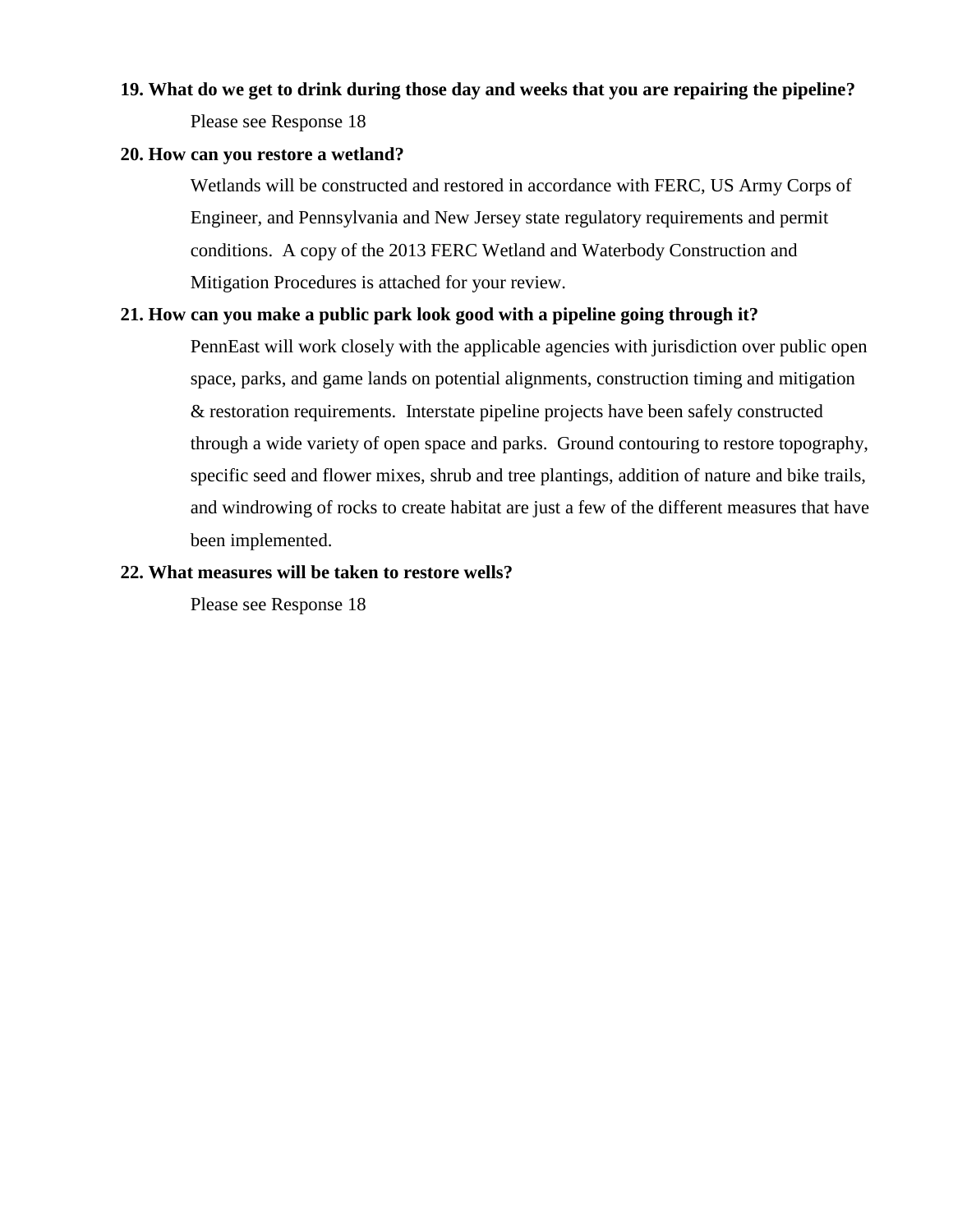# **19. What do we get to drink during those day and weeks that you are repairing the pipeline?** Please see Response 18

#### **20. How can you restore a wetland?**

Wetlands will be constructed and restored in accordance with FERC, US Army Corps of Engineer, and Pennsylvania and New Jersey state regulatory requirements and permit conditions. A copy of the 2013 FERC Wetland and Waterbody Construction and Mitigation Procedures is attached for your review.

#### **21. How can you make a public park look good with a pipeline going through it?**

PennEast will work closely with the applicable agencies with jurisdiction over public open space, parks, and game lands on potential alignments, construction timing and mitigation & restoration requirements. Interstate pipeline projects have been safely constructed through a wide variety of open space and parks. Ground contouring to restore topography, specific seed and flower mixes, shrub and tree plantings, addition of nature and bike trails, and windrowing of rocks to create habitat are just a few of the different measures that have been implemented.

#### **22. What measures will be taken to restore wells?**

Please see Response 18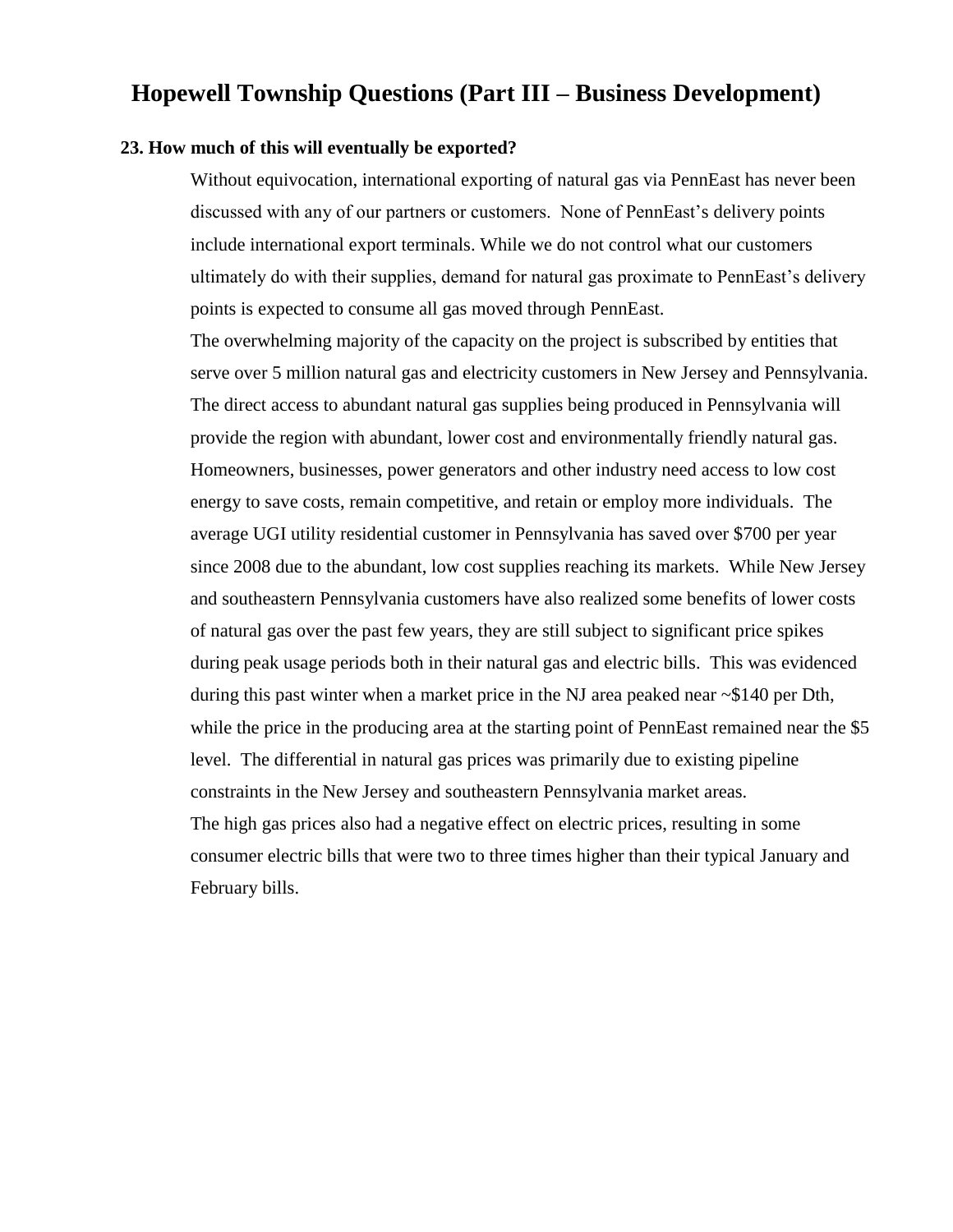# **Hopewell Township Questions (Part III – Business Development)**

#### **23. How much of this will eventually be exported?**

Without equivocation, international exporting of natural gas via PennEast has never been discussed with any of our partners or customers. None of PennEast's delivery points include international export terminals. While we do not control what our customers ultimately do with their supplies, demand for natural gas proximate to PennEast's delivery points is expected to consume all gas moved through PennEast.

The overwhelming majority of the capacity on the project is subscribed by entities that serve over 5 million natural gas and electricity customers in New Jersey and Pennsylvania. The direct access to abundant natural gas supplies being produced in Pennsylvania will provide the region with abundant, lower cost and environmentally friendly natural gas. Homeowners, businesses, power generators and other industry need access to low cost energy to save costs, remain competitive, and retain or employ more individuals. The average UGI utility residential customer in Pennsylvania has saved over \$700 per year since 2008 due to the abundant, low cost supplies reaching its markets. While New Jersey and southeastern Pennsylvania customers have also realized some benefits of lower costs of natural gas over the past few years, they are still subject to significant price spikes during peak usage periods both in their natural gas and electric bills. This was evidenced during this past winter when a market price in the NJ area peaked near ~\$140 per Dth, while the price in the producing area at the starting point of PennEast remained near the \$5 level. The differential in natural gas prices was primarily due to existing pipeline constraints in the New Jersey and southeastern Pennsylvania market areas. The high gas prices also had a negative effect on electric prices, resulting in some consumer electric bills that were two to three times higher than their typical January and February bills.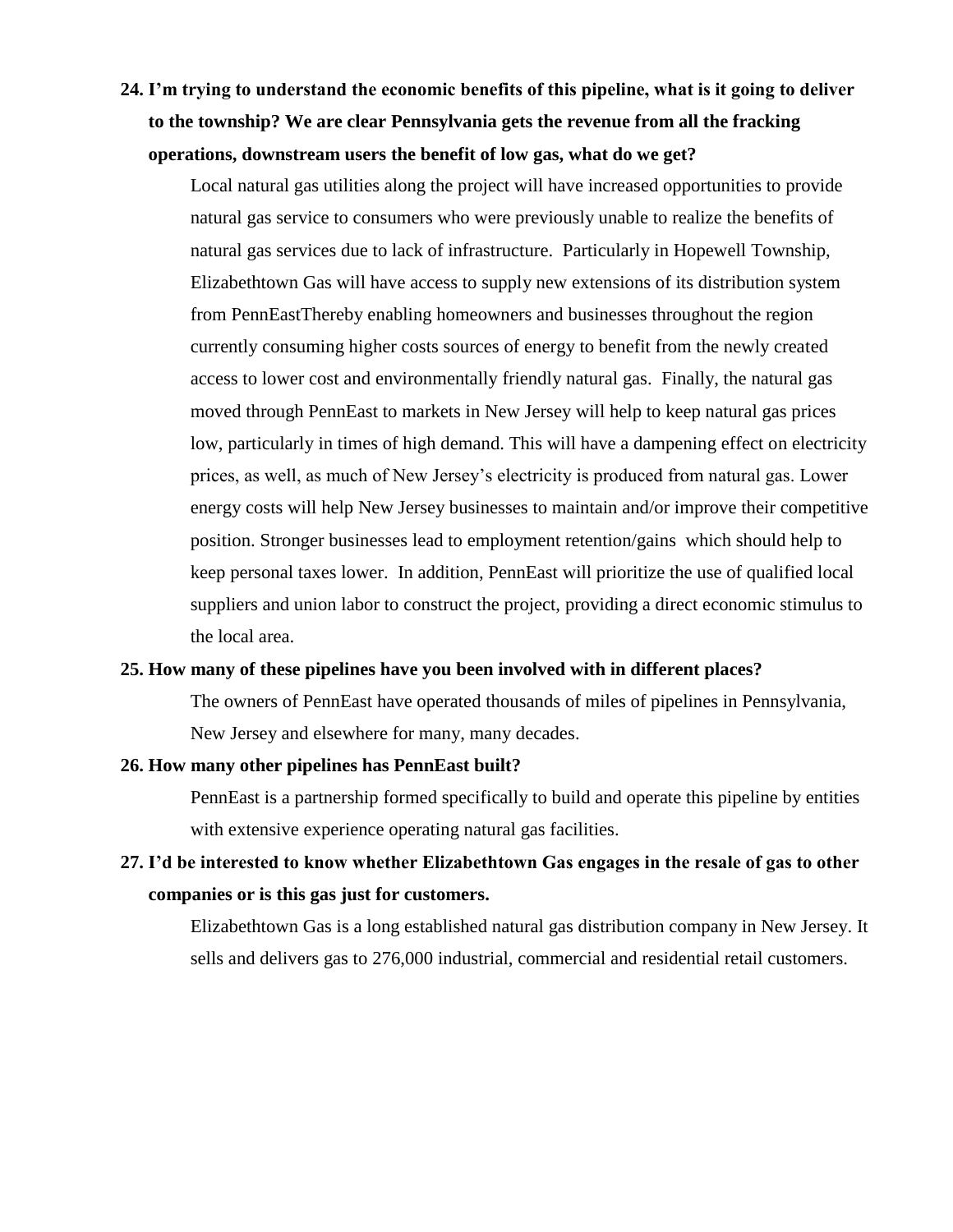**24. I'm trying to understand the economic benefits of this pipeline, what is it going to deliver to the township? We are clear Pennsylvania gets the revenue from all the fracking operations, downstream users the benefit of low gas, what do we get?** 

Local natural gas utilities along the project will have increased opportunities to provide natural gas service to consumers who were previously unable to realize the benefits of natural gas services due to lack of infrastructure. Particularly in Hopewell Township, Elizabethtown Gas will have access to supply new extensions of its distribution system from PennEastThereby enabling homeowners and businesses throughout the region currently consuming higher costs sources of energy to benefit from the newly created access to lower cost and environmentally friendly natural gas. Finally, the natural gas moved through PennEast to markets in New Jersey will help to keep natural gas prices low, particularly in times of high demand. This will have a dampening effect on electricity prices, as well, as much of New Jersey's electricity is produced from natural gas. Lower energy costs will help New Jersey businesses to maintain and/or improve their competitive position. Stronger businesses lead to employment retention/gains which should help to keep personal taxes lower. In addition, PennEast will prioritize the use of qualified local suppliers and union labor to construct the project, providing a direct economic stimulus to the local area.

#### **25. How many of these pipelines have you been involved with in different places?**

The owners of PennEast have operated thousands of miles of pipelines in Pennsylvania, New Jersey and elsewhere for many, many decades.

#### **26. How many other pipelines has PennEast built?**

PennEast is a partnership formed specifically to build and operate this pipeline by entities with extensive experience operating natural gas facilities.

# **27. I'd be interested to know whether Elizabethtown Gas engages in the resale of gas to other companies or is this gas just for customers.**

Elizabethtown Gas is a long established natural gas distribution company in New Jersey. It sells and delivers gas to 276,000 industrial, commercial and residential retail customers.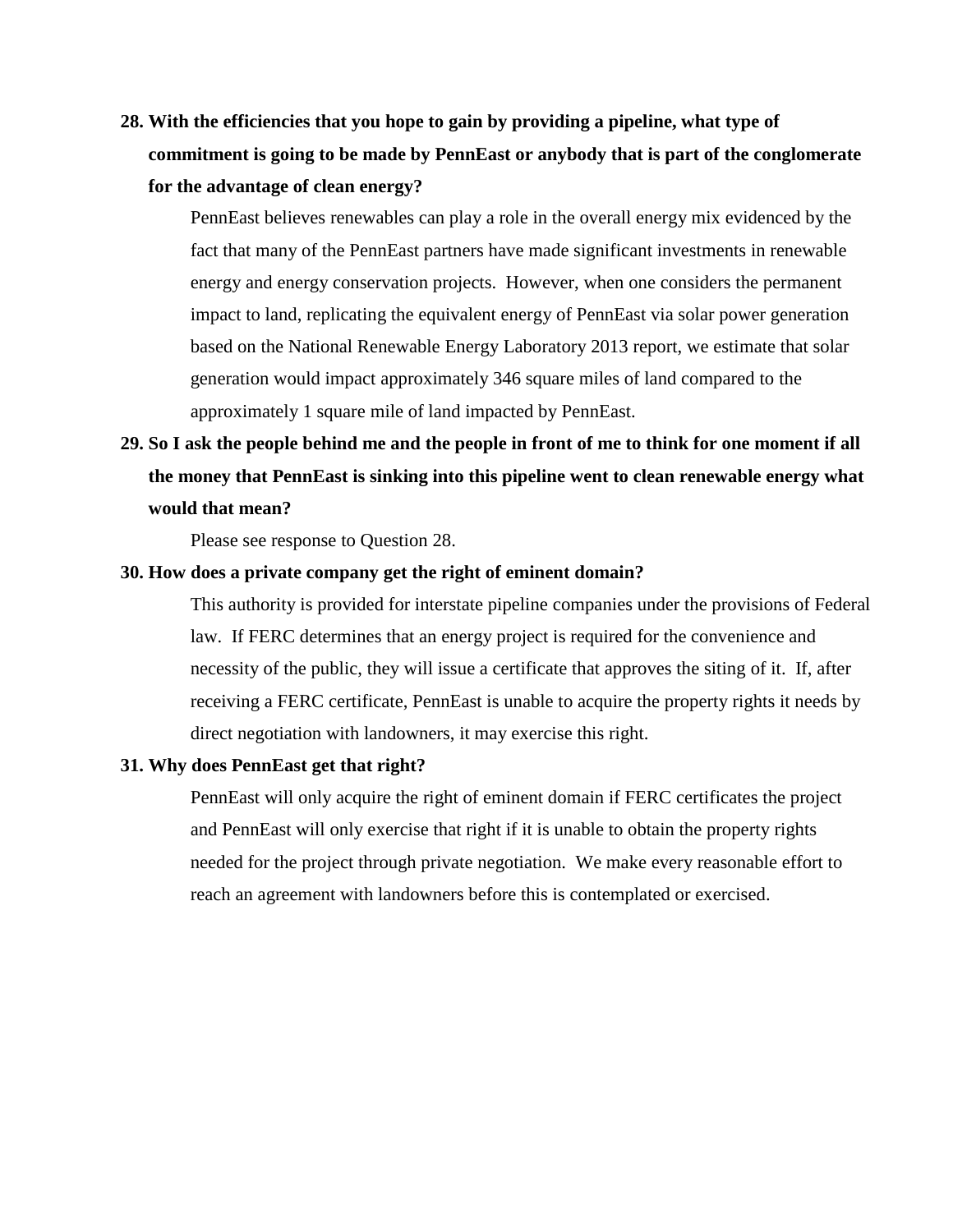**28. With the efficiencies that you hope to gain by providing a pipeline, what type of commitment is going to be made by PennEast or anybody that is part of the conglomerate for the advantage of clean energy?**

PennEast believes renewables can play a role in the overall energy mix evidenced by the fact that many of the PennEast partners have made significant investments in renewable energy and energy conservation projects. However, when one considers the permanent impact to land, replicating the equivalent energy of PennEast via solar power generation based on the National Renewable Energy Laboratory 2013 report, we estimate that solar generation would impact approximately 346 square miles of land compared to the approximately 1 square mile of land impacted by PennEast.

# **29. So I ask the people behind me and the people in front of me to think for one moment if all the money that PennEast is sinking into this pipeline went to clean renewable energy what would that mean?**

Please see response to Question 28.

#### **30. How does a private company get the right of eminent domain?**

This authority is provided for interstate pipeline companies under the provisions of Federal law. If FERC determines that an energy project is required for the convenience and necessity of the public, they will issue a certificate that approves the siting of it. If, after receiving a FERC certificate, PennEast is unable to acquire the property rights it needs by direct negotiation with landowners, it may exercise this right.

#### **31. Why does PennEast get that right?**

PennEast will only acquire the right of eminent domain if FERC certificates the project and PennEast will only exercise that right if it is unable to obtain the property rights needed for the project through private negotiation. We make every reasonable effort to reach an agreement with landowners before this is contemplated or exercised.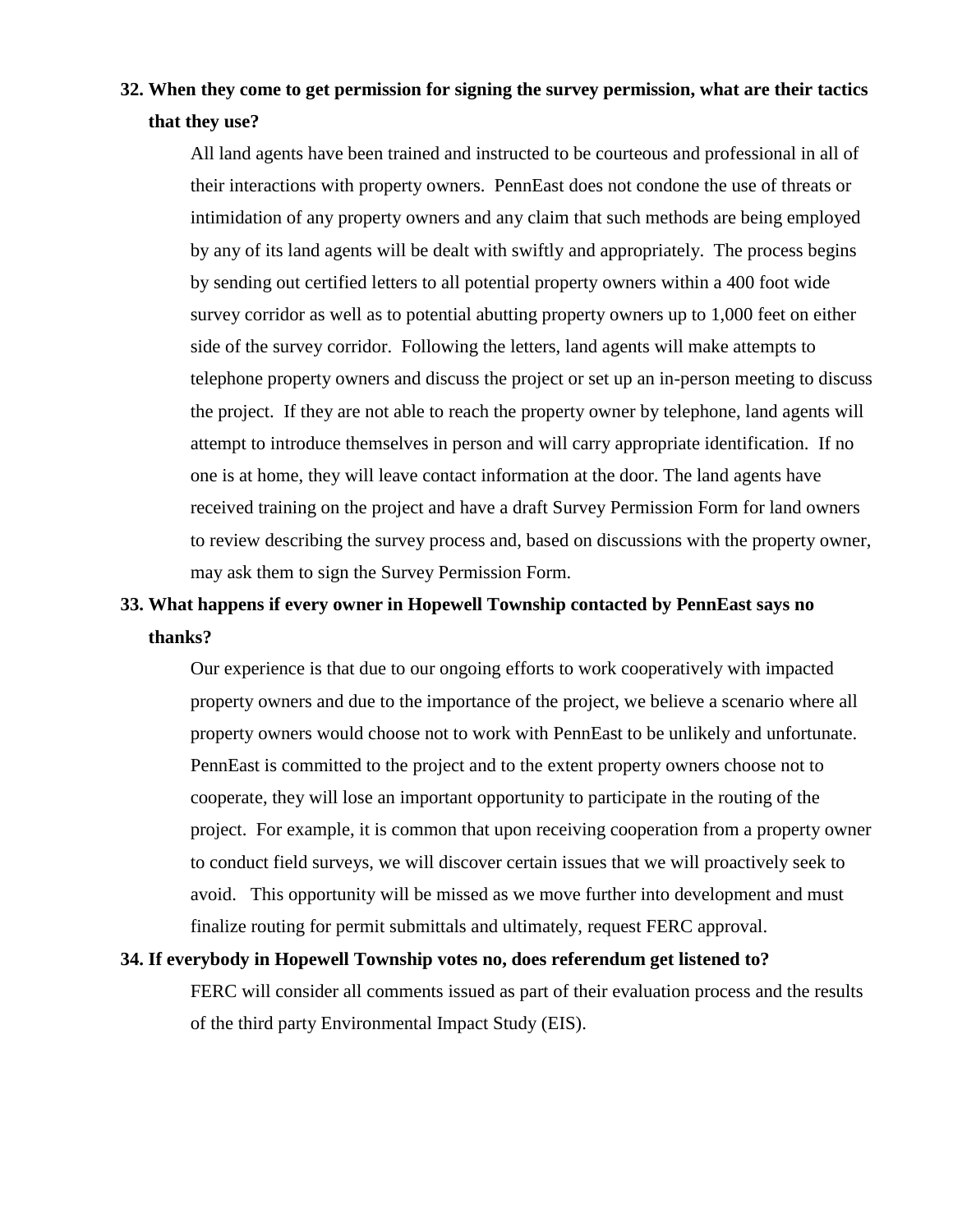# **32. When they come to get permission for signing the survey permission, what are their tactics that they use?**

All land agents have been trained and instructed to be courteous and professional in all of their interactions with property owners. PennEast does not condone the use of threats or intimidation of any property owners and any claim that such methods are being employed by any of its land agents will be dealt with swiftly and appropriately. The process begins by sending out certified letters to all potential property owners within a 400 foot wide survey corridor as well as to potential abutting property owners up to 1,000 feet on either side of the survey corridor. Following the letters, land agents will make attempts to telephone property owners and discuss the project or set up an in-person meeting to discuss the project. If they are not able to reach the property owner by telephone, land agents will attempt to introduce themselves in person and will carry appropriate identification. If no one is at home, they will leave contact information at the door. The land agents have received training on the project and have a draft Survey Permission Form for land owners to review describing the survey process and, based on discussions with the property owner, may ask them to sign the Survey Permission Form.

# **33. What happens if every owner in Hopewell Township contacted by PennEast says no thanks?**

Our experience is that due to our ongoing efforts to work cooperatively with impacted property owners and due to the importance of the project, we believe a scenario where all property owners would choose not to work with PennEast to be unlikely and unfortunate. PennEast is committed to the project and to the extent property owners choose not to cooperate, they will lose an important opportunity to participate in the routing of the project. For example, it is common that upon receiving cooperation from a property owner to conduct field surveys, we will discover certain issues that we will proactively seek to avoid. This opportunity will be missed as we move further into development and must finalize routing for permit submittals and ultimately, request FERC approval.

### **34. If everybody in Hopewell Township votes no, does referendum get listened to?**

FERC will consider all comments issued as part of their evaluation process and the results of the third party Environmental Impact Study (EIS).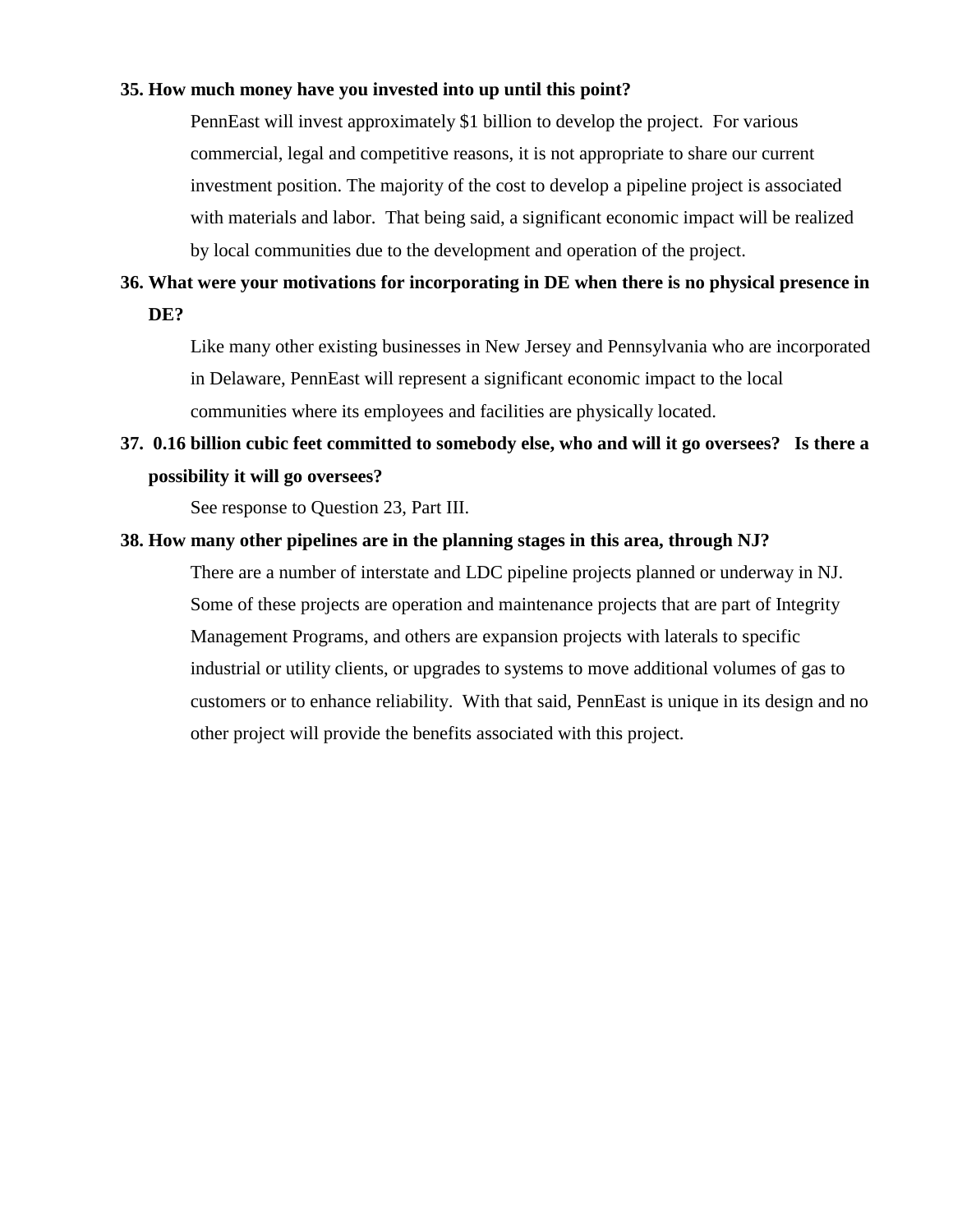#### **35. How much money have you invested into up until this point?**

PennEast will invest approximately \$1 billion to develop the project. For various commercial, legal and competitive reasons, it is not appropriate to share our current investment position. The majority of the cost to develop a pipeline project is associated with materials and labor. That being said, a significant economic impact will be realized by local communities due to the development and operation of the project.

# **36. What were your motivations for incorporating in DE when there is no physical presence in DE?**

Like many other existing businesses in New Jersey and Pennsylvania who are incorporated in Delaware, PennEast will represent a significant economic impact to the local communities where its employees and facilities are physically located.

# **37. 0.16 billion cubic feet committed to somebody else, who and will it go oversees? Is there a possibility it will go oversees?**

See response to Question 23, Part III.

## **38. How many other pipelines are in the planning stages in this area, through NJ?**

There are a number of interstate and LDC pipeline projects planned or underway in NJ. Some of these projects are operation and maintenance projects that are part of Integrity Management Programs, and others are expansion projects with laterals to specific industrial or utility clients, or upgrades to systems to move additional volumes of gas to customers or to enhance reliability. With that said, PennEast is unique in its design and no other project will provide the benefits associated with this project.